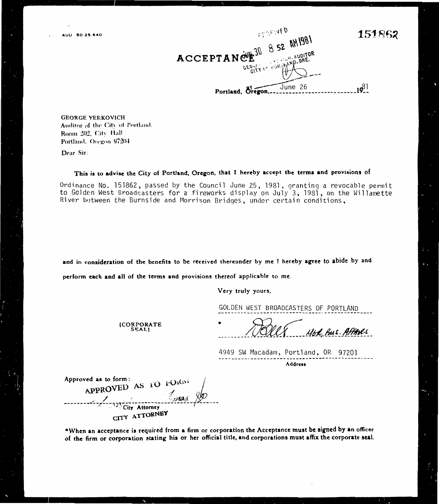

**GEORGE YERKOVICH** Auditor of the City of Portland. Room 202, City Hall Portland, Oregon 97204

Dear Sir:

This is to advise the City of Portland, Oregon, that I hereby accept the terms and provisions of

Ordinance No. 151862, passed by the Council June 25, 1981, granting a revocable permit to Golden West Broadcasters for a fireworks display on July 3, 1981, on the Willamette River between the Burnside and Morrison Bridges, under certain conditions,

and in consideration of the benefits to be received thereunder by me I hereby agree to abide by and

perform each and all of the terms and provisions thereof applicable to me.

Very truly yours.

GOLDEN WEST BROADCASTERS OF PORTLAND

(CORPORATE<br>SEAL)

46A Bus. APPANES

4949 SW Macadam, Portland, OR 97201 Address

Approved as to form: APPROVED AS TO FORM mas City Attorney CITY ATTORNEY

\*When an acceptance is required from a firm or corporation the Acceptance must be signed by an officer of the firm or corporation stating his or her official title, and corporations must affix the corporate seal.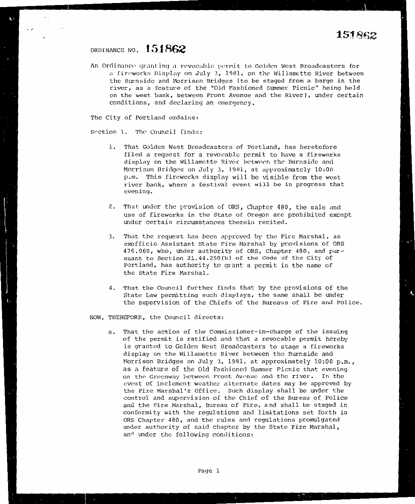### ORDINANCE NO. **I\_ 5 .1 862**

 $\ddotsc$ 

 $\ddot{\phantom{0}}$ 

An Ordinance granting a revocable permit to Golden West Broadcasters for a fireworks Display on July 3, 1981, on the Willamette River between the Burnside and Morrison Bridges (to be staged from a barge in the river, as a feature of the "Old Fashioned Summer Picnic" being held on the west bank, between Front Avenue and the River), under certain conditions, and declaring an emergency.

The City of Portland ordains:

Section 1. The Council finds:

- 1. That Golden West Broadcasters of Portland, has heretofore filed a request for a revocable permit to have a fireworks display on the Willamette River between the Burnside and Morrison Bridges on July 3, 1981, at approximately  $10:00$ p.m. This fireworks display will be visible from the west river bank, where a festival event will be *in* progress that evening.
- 2. That under the provision of ORS, Chapter 480, the sale and use of fireworks in the State of Oregon are prohibited except under certain circumstances therein recited.
- 3. That the request has been approved by the Fire Marshal, as exofficio Assistant State Fire Marshal by provisions of ORS 476.060, who, under authority of ORS, Chapter 480, and pursuant to Section 21.44.250{b) of the Code of the City of Portland, has authority to grant a permit in the name of the State Fire Marshal.
- 4. That the Council further finds that by the provisions of the State Law permitting such displays, the same shall be under the supervision of the Chiefs of the Bureaus of Fire and Police.

NOW, THEREFORE, the Council directs:

a. That the action of the Commissioner-in-charge of the issuing of the permit is ratified and that a revocable permit hereby is granted to Golden West Broadcasters to stage a fireworks display on the Willamette River between the Burnside and Morrison Bridges on July 3, 1981, at approximately 10:00 p.m., as a feature of the Old Fashioned Summer Picnic that evening on the Greenway between Front Avenue and the river. In the event of inclement weather alternate dates may be approved by the Fire Marshal's Office. Such display shall be under the control and supervision of the Chief of the Bureau of Police ana the Fire Marshal, Bureau of Fire, and shall be staged in conformity with the regulations and limitations set forth in ORS Chapter 480, and the rules and regulations promulgated under authority of said chapter by the State Fire Marshal, an<sup>d</sup> under the following conditions: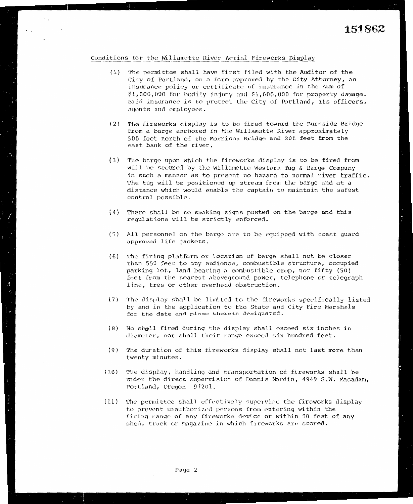#### Conditions for the Willamotte River Aerial Fireworks Display

 $\cdot$  .

 $\ddotsc$ 

- (1) The permittee shall have first filed with the Auditor of the City of Portland, on a form approved by the City Attorney, an insurance policy or certificate of insurance in the sum of  $$1,000,000$  for bodily injury and  $$1,000,000$  for property damage. Said insurance is to protect the City of Portland, its officers, agents and employces.
- (2) The fireworks display is to be fired toward the Burnside Bridge from a barge anchored in the Willamette River approximately 500 feet north of the Morrison Bridge and 200 feet from the east bank of the river.
- (3) The barge upon which the fireworks display is to be fired from will be secured by the Willamette Western Tug & Barge Company in such a manner as to present no hazard to normal river traffic. The tug will be positioned up stream from the barge and at a distance which would enable the captain to maintain the safest control possible.
- (4) There shall be no snnking signs posted on the barge and this regulations will be strictly enforced.
- (5) All personnel on the barge arc to be equipped with coast guard approved life jackets.
- (6} The firing platform or location of barge shall not be closer than 550 feet to any audience, combustible structure, occupied parking lot, land bearing a combustible crop, nor fifty (50) feet from the nearest aboveground power, telephone or telegraph line, tree or other overhead obstruction.
- (7) The display shall be limited to the fireworks specifically listed by and in the application to the State and City Fire Marshals for the date and place therein designated.
- (8) No shell fired during the display shall exceed six inches in diameter, nor shall their range exceed six hundred feet.
- ( 9) The duration of this fireworks display shall not last more than twenty minutes.
- (10) The display, handling and transportation of fireworks shall be under the direct supervision of Dennis Nordin, 4949 S.W. Macadam, Portland, Oregon 97201.
- (11) The permittee shall effectively supcrvjsc the fireworks display to prevent unauthorized persons from entering within the firing range of any fireworks device or within 50 feet of any shed, truck or magazine in which fireworks are stored.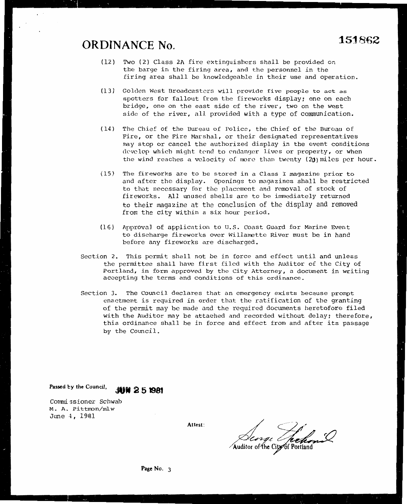# **ORDINANCE No. <sup>151862</sup>**

- (12) Two (2) Class 2A fire extinguishers shall be provided on the barge in the firing area, and the personnel in the firing area shall be knowledgeable in their use and operation.
- (13) Golden West Broadcasters will provide five people to act as spotters for fallout from the fireworks display: one on each bridge, one on the east side of the river, two on the west side of the river, all provided with a type of communication.
- ( 14) The Chief of the Bureau of Police, the Chief of the Bureau of Fire, or the Fire Marshal, or their designated representatives may stop or cancel the authorized display in the event conditions develop which might tend to endanger lives or property, or when the wind reaches a velocity of more than twenty ( $20$ ) miles per hour.
- (15) The fireworks are to be stored in a Class I magazine prior to and after the display. Openings to magazines shall be restricted to that necessary for the placement and removal of stock of fireworks. All unused shells are to be immediately returned to their magazine at the conclusion of the display and removed from the city within a six hour period.
- $(16)$  Approval of application to U.S. Coast Guard for Marine Event to discharge fireworks over Willanette River must be in hand before any fireworks are discharged.
- Section 2. This permit shall not be in force and effect until and unless the permittee shall have first filed with the Auditor of the City of Portland, in form approved by the City Attorney, a document in writing accepting the terms and conditions of this ordinance.
- Section 3. The Council declares that an emergency exists because prompt enactment is required in order that the ratification of the granting of the permit may be made and the required documents heretofore filed with the Auditor may be attached and recorded without delay; therefore, this ordinance shall be in force and effect from and after its passage by the Council.

Passed by the Council, **JUN 2 51981** 

Commissioner Schwab M. A. Pittnon/mlw June 4, 1981

Attest:<br>Auditor of the Ci